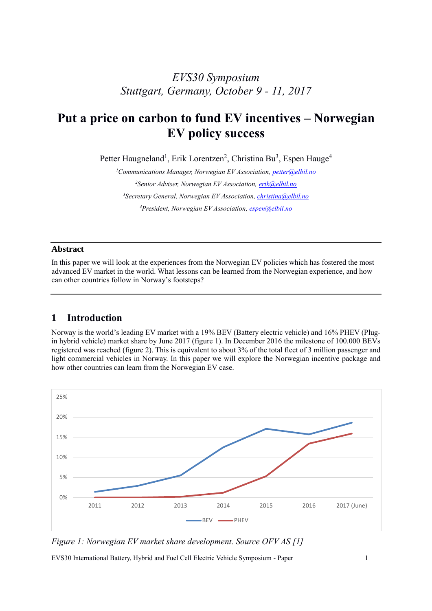## *EVS30 Symposium Stuttgart, Germany, October 9 - 11, 2017*

# **Put a price on carbon to fund EV incentives – Norwegian EV policy success**

Petter Haugneland<sup>1</sup>, Erik Lorentzen<sup>2</sup>, Christina Bu<sup>3</sup>, Espen Hauge<sup>4</sup>

*Communications Manager, Norwegian EV Association[, petter@elbil.no](mailto:petter@elbil.no) Senior Adviser, Norwegian EV Association[, erik@elbil.no](mailto:erik@elbil.no) Secretary General, Norwegian EV Association[, christina@elbil.no](mailto:christina@elbil.no) President, Norwegian EV Association[, espen@elbil.no](mailto:espen@elbil.no)*

#### **Abstract**

In this paper we will look at the experiences from the Norwegian EV policies which has fostered the most advanced EV market in the world. What lessons can be learned from the Norwegian experience, and how can other countries follow in Norway's footsteps?

#### **1 Introduction**

Norway is the world's leading EV market with a 19% BEV (Battery electric vehicle) and 16% PHEV (Plugin hybrid vehicle) market share by June 2017 (figure 1). In December 2016 the milestone of 100.000 BEVs registered was reached (figure 2). This is equivalent to about 3% of the total fleet of 3 million passenger and light commercial vehicles in Norway. In this paper we will explore the Norwegian incentive package and how other countries can learn from the Norwegian EV case.



*Figure 1: Norwegian EV market share development. Source OFV AS [1]*

EVS30 International Battery, Hybrid and Fuel Cell Electric Vehicle Symposium - Paper 1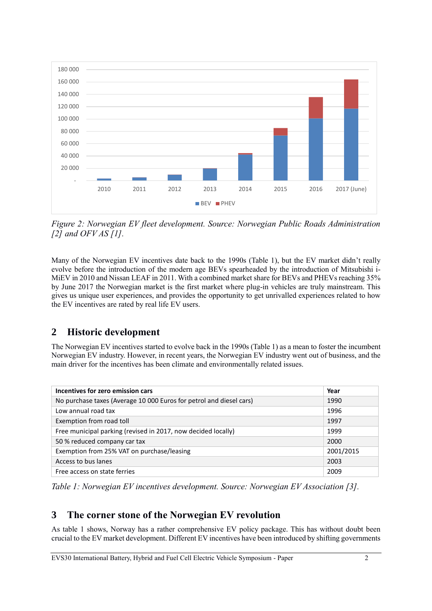

*Figure 2: Norwegian EV fleet development. Source: Norwegian Public Roads Administration [2] and OFV AS [1].*

Many of the Norwegian EV incentives date back to the 1990s (Table 1), but the EV market didn't really evolve before the introduction of the modern age BEVs spearheaded by the introduction of Mitsubishi i-MiEV in 2010 and Nissan LEAF in 2011. With a combined market share for BEVs and PHEVs reaching 35% by June 2017 the Norwegian market is the first market where plug-in vehicles are truly mainstream. This gives us unique user experiences, and provides the opportunity to get unrivalled experiences related to how the EV incentives are rated by real life EV users.

## **2 Historic development**

The Norwegian EV incentives started to evolve back in the 1990s (Table 1) as a mean to foster the incumbent Norwegian EV industry. However, in recent years, the Norwegian EV industry went out of business, and the main driver for the incentives has been climate and environmentally related issues.

| Incentives for zero emission cars                                   | Year      |
|---------------------------------------------------------------------|-----------|
| No purchase taxes (Average 10 000 Euros for petrol and diesel cars) | 1990      |
| Low annual road tax                                                 | 1996      |
| Exemption from road toll                                            | 1997      |
| Free municipal parking (revised in 2017, now decided locally)       | 1999      |
| 50 % reduced company car tax                                        | 2000      |
| Exemption from 25% VAT on purchase/leasing                          | 2001/2015 |
| Access to bus lanes                                                 | 2003      |
| Free access on state ferries                                        | 2009      |

*Table 1: Norwegian EV incentives development. Source: Norwegian EV Association [3].*

## **3 The corner stone of the Norwegian EV revolution**

As table 1 shows, Norway has a rather comprehensive EV policy package. This has without doubt been crucial to the EV market development. Different EV incentives have been introduced by shifting governments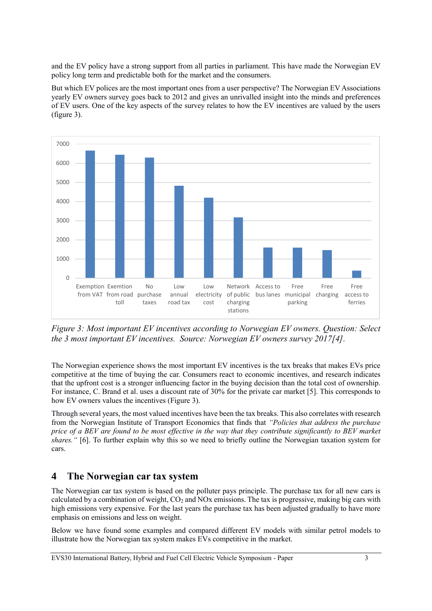and the EV policy have a strong support from all parties in parliament. This have made the Norwegian EV policy long term and predictable both for the market and the consumers.

But which EV polices are the most important ones from a user perspective? The Norwegian EV Associations yearly EV owners survey goes back to 2012 and gives an unrivalled insight into the minds and preferences of EV users. One of the key aspects of the survey relates to how the EV incentives are valued by the users (figure 3).



*Figure 3: Most important EV incentives according to Norwegian EV owners. Question: Select the 3 most important EV incentives. Source: Norwegian EV owners survey 2017[4].* 

The Norwegian experience shows the most important EV incentives is the tax breaks that makes EVs price competitive at the time of buying the car. Consumers react to economic incentives, and research indicates that the upfront cost is a stronger influencing factor in the buying decision than the total cost of ownership. For instance, C. Brand et al. uses a discount rate of 30% for the private car market [5]. This corresponds to how EV owners values the incentives (Figure 3).

Through several years, the most valued incentives have been the tax breaks. This also correlates with research from the Norwegian Institute of Transport Economics that finds that *"Policies that address the purchase price of a BEV are found to be most effective in the way that they contribute significantly to BEV market shares."* [6]. To further explain why this so we need to briefly outline the Norwegian taxation system for cars.

#### **4 The Norwegian car tax system**

The Norwegian car tax system is based on the polluter pays principle. The purchase tax for all new cars is calculated by a combination of weight,  $CO<sub>2</sub>$  and NOx emissions. The tax is progressive, making big cars with high emissions very expensive. For the last years the purchase tax has been adjusted gradually to have more emphasis on emissions and less on weight.

Below we have found some examples and compared different EV models with similar petrol models to illustrate how the Norwegian tax system makes EVs competitive in the market.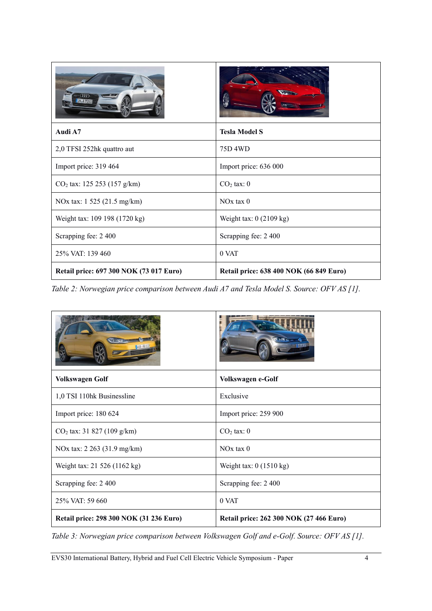| Audi A7                                 | <b>Tesla Model S</b>                    |
|-----------------------------------------|-----------------------------------------|
| 2,0 TFSI 252hk quattro aut              | 75D 4WD                                 |
| Import price: 319 464                   | Import price: 636 000                   |
| $CO2$ tax: 125 253 (157 g/km)           | $CO2$ tax: $0$                          |
| NOx tax: 1 525 (21.5 mg/km)             | $NOx$ tax $0$                           |
| Weight tax: 109 198 (1720 kg)           | Weight tax: $0(2109 \text{ kg})$        |
| Scrapping fee: 2 400                    | Scrapping fee: 2 400                    |
| 25% VAT: 139 460                        | 0 VAT                                   |
| Retail price: 697 300 NOK (73 017 Euro) | Retail price: 638 400 NOK (66 849 Euro) |

*Table 2: Norwegian price comparison between Audi A7 and Tesla Model S. Source: OFV AS [1].*

| <b>Volkswagen Golf</b>                  | Volkswagen e-Golf                       |
|-----------------------------------------|-----------------------------------------|
| 1,0 TSI 110hk Businessline              | Exclusive                               |
| Import price: 180 624                   | Import price: 259 900                   |
| $CO2$ tax: 31 827 (109 g/km)            | $CO2$ tax: $0$                          |
| NOx tax: 2 263 (31.9 mg/km)             | $NOx$ tax $0$                           |
| Weight tax: 21 526 (1162 kg)            | Weight tax: $0(1510 \text{ kg})$        |
| Scrapping fee: 2 400                    | Scrapping fee: 2 400                    |
| 25% VAT: 59 660                         | 0 VAT                                   |
| Retail price: 298 300 NOK (31 236 Euro) | Retail price: 262 300 NOK (27 466 Euro) |

*Table 3: Norwegian price comparison between Volkswagen Golf and e-Golf. Source: OFV AS [1].*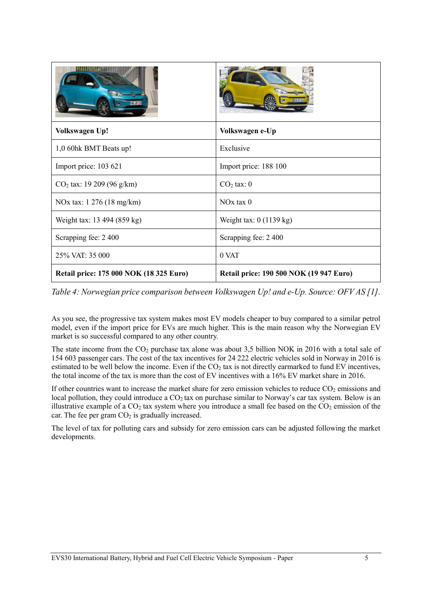| <b>Volkswagen Up!</b>                   | Volkswagen e-Up                                |
|-----------------------------------------|------------------------------------------------|
| 1,0 60hk BMT Beats up!                  | Exclusive                                      |
| Import price: 103 621                   | Import price: 188 100                          |
| $CO2$ tax: 19 209 (96 g/km)             | $CO2$ tax: $0$                                 |
| NOx tax: 1 276 (18 mg/km)               | $NOx$ tax $0$                                  |
| Weight tax: 13 494 (859 kg)             | Weight tax: $0(1139 \text{ kg})$               |
| Scrapping fee: 2 400                    | Scrapping fee: 2 400                           |
| 25% VAT: 35 000                         | 0 VAT                                          |
| Retail price: 175 000 NOK (18 325 Euro) | <b>Retail price: 190 500 NOK (19 947 Euro)</b> |

*Table 4: Norwegian price comparison between Volkswagen Up! and e-Up. Source: OFV AS [1].*

As you see, the progressive tax system makes most EV models cheaper to buy compared to a similar petrol model, even if the import price for EVs are much higher. This is the main reason why the Norwegian EV market is so successful compared to any other country.

The state income from the  $CO<sub>2</sub>$  purchase tax alone was about 3,5 billion NOK in 2016 with a total sale of 154 603 passenger cars. The cost of the tax incentives for 24 222 electric vehicles sold in Norway in 2016 is estimated to be well below the income. Even if the  $CO<sub>2</sub>$  tax is not directly earmarked to fund EV incentives, the total income of the tax is more than the cost of EV incentives with a 16% EV market share in 2016.

If other countries want to increase the market share for zero emission vehicles to reduce  $CO<sub>2</sub>$  emissions and local pollution, they could introduce a CO<sub>2</sub> tax on purchase similar to Norway's car tax system. Below is an illustrative example of a  $CO<sub>2</sub>$  tax system where you introduce a small fee based on the  $CO<sub>2</sub>$  emission of the car. The fee per gram  $CO<sub>2</sub>$  is gradually increased.

The level of tax for polluting cars and subsidy for zero emission cars can be adjusted following the market developments.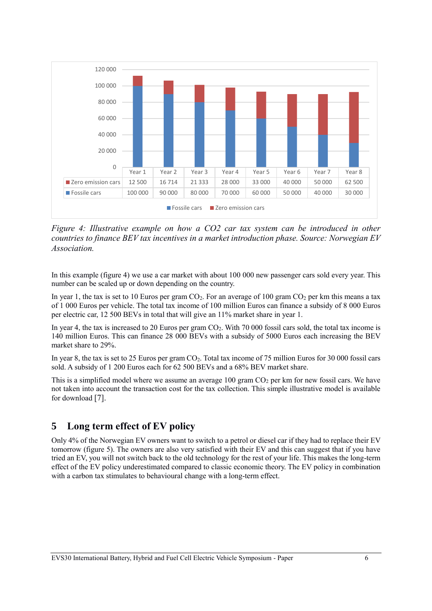

*Figure 4: Illustrative example on how a CO2 car tax system can be introduced in other countries to finance BEV tax incentives in a market introduction phase. Source: Norwegian EV Association.*

In this example (figure 4) we use a car market with about 100 000 new passenger cars sold every year. This number can be scaled up or down depending on the country.

In year 1, the tax is set to 10 Euros per gram  $CO<sub>2</sub>$ . For an average of 100 gram  $CO<sub>2</sub>$  per km this means a tax of 1 000 Euros per vehicle. The total tax income of 100 million Euros can finance a subsidy of 8 000 Euros per electric car, 12 500 BEVs in total that will give an 11% market share in year 1.

In year 4, the tax is increased to 20 Euros per gram  $CO<sub>2</sub>$ . With 70 000 fossil cars sold, the total tax income is 140 million Euros. This can finance 28 000 BEVs with a subsidy of 5000 Euros each increasing the BEV market share to 29%.

In year 8, the tax is set to 25 Euros per gram CO2. Total tax income of 75 million Euros for 30 000 fossil cars sold. A subsidy of 1 200 Euros each for 62 500 BEVs and a 68% BEV market share.

This is a simplified model where we assume an average  $100$  gram  $CO<sub>2</sub>$  per km for new fossil cars. We have not taken into account the transaction cost for the tax collection. This simple illustrative model is available for download [7].

#### **5 Long term effect of EV policy**

Only 4% of the Norwegian EV owners want to switch to a petrol or diesel car if they had to replace their EV tomorrow (figure 5). The owners are also very satisfied with their EV and this can suggest that if you have tried an EV, you will not switch back to the old technology for the rest of your life. This makes the long-term effect of the EV policy underestimated compared to classic economic theory. The EV policy in combination with a carbon tax stimulates to behavioural change with a long-term effect.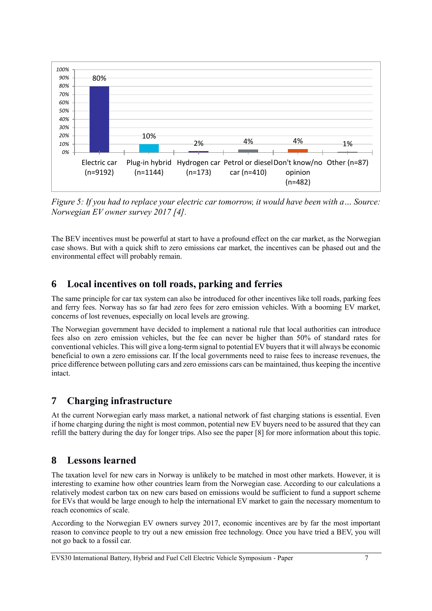

*Figure 5: If you had to replace your electric car tomorrow, it would have been with a… Source: Norwegian EV owner survey 2017 [4].*

The BEV incentives must be powerful at start to have a profound effect on the car market, as the Norwegian case shows. But with a quick shift to zero emissions car market, the incentives can be phased out and the environmental effect will probably remain.

#### **6 Local incentives on toll roads, parking and ferries**

The same principle for car tax system can also be introduced for other incentives like toll roads, parking fees and ferry fees. Norway has so far had zero fees for zero emission vehicles. With a booming EV market, concerns of lost revenues, especially on local levels are growing.

The Norwegian government have decided to implement a national rule that local authorities can introduce fees also on zero emission vehicles, but the fee can never be higher than 50% of standard rates for conventional vehicles. This will give a long-term signal to potential EV buyers that it will always be economic beneficial to own a zero emissions car. If the local governments need to raise fees to increase revenues, the price difference between polluting cars and zero emissions cars can be maintained, thus keeping the incentive intact.

#### **7 Charging infrastructure**

At the current Norwegian early mass market, a national network of fast charging stations is essential. Even if home charging during the night is most common, potential new EV buyers need to be assured that they can refill the battery during the day for longer trips. Also see the paper [8] for more information about this topic.

#### **8 Lessons learned**

The taxation level for new cars in Norway is unlikely to be matched in most other markets. However, it is interesting to examine how other countries learn from the Norwegian case. According to our calculations a relatively modest carbon tax on new cars based on emissions would be sufficient to fund a support scheme for EVs that would be large enough to help the international EV market to gain the necessary momentum to reach economics of scale.

According to the Norwegian EV owners survey 2017, economic incentives are by far the most important reason to convince people to try out a new emission free technology. Once you have tried a BEV, you will not go back to a fossil car.